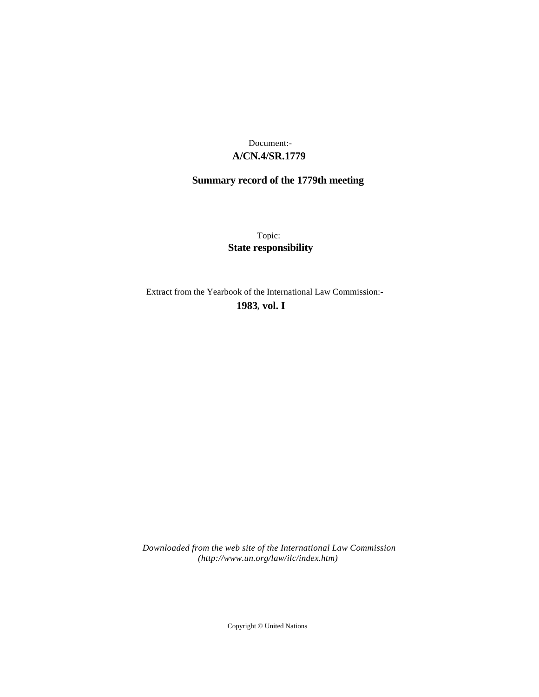## **A/CN.4/SR.1779** Document:-

# **Summary record of the 1779th meeting**

Topic: **State responsibility**

Extract from the Yearbook of the International Law Commission:-

**1983** , **vol. I**

*Downloaded from the web site of the International Law Commission (http://www.un.org/law/ilc/index.htm)*

Copyright © United Nations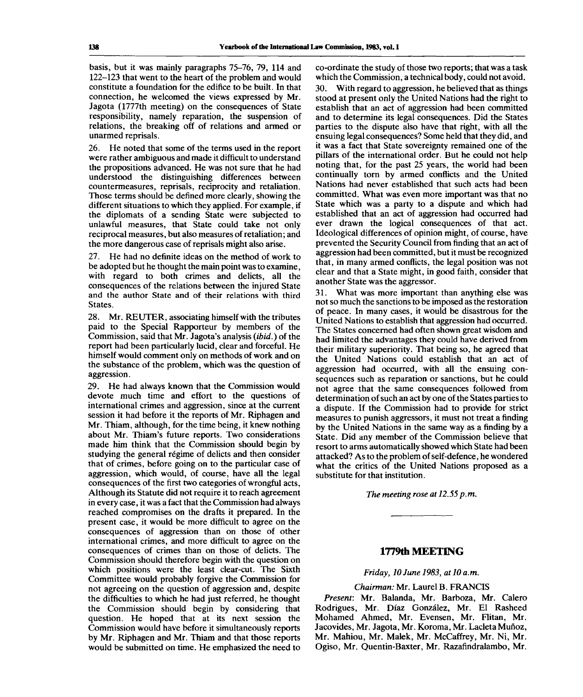basis, but it was mainly paragraphs 75-76, 79, 114 and 122-123 that went to the heart of the problem and would constitute a foundation for the edifice to be built. In that connection, he welcomed the views expressed by Mr. Jagota (1777th meeting) on the consequences of State responsibility, namely reparation, the suspension of relations, the breaking off of relations and armed or unarmed reprisals.

26. He noted that some of the terms used in the report were rather ambiguous and made it difficult to understand the propositions advanced. He was not sure that he had understood the distinguishing differences between countermeasures, reprisals, reciprocity and retaliation. Those terms should be defined more clearly, showing the different situations to which they applied. For example, if the diplomats of a sending State were subjected to unlawful measures, that State could take not only reciprocal measures, but also measures of retaliation; and the more dangerous case of reprisals might also arise.

27. He had no definite ideas on the method of work to be adopted but he thought the main point was to examine, with regard to both crimes and delicts, all the consequences of the relations between the injured State and the author State and of their relations with third States.

28. Mr. REUTER, associating himself with the tributes paid to the Special Rapporteur by members of the Commission, said that Mr. Jagota's analysis *(ibid.)* of the report had been particularly lucid, clear and forceful. He himself would comment only on methods of work and on the substance of the problem, which was the question of aggression.

29. He had always known that the Commission would devote much time and effort to the questions of international crimes and aggression, since at the current session it had before it the reports of Mr. Riphagen and Mr. Thiam, although, for the time being, it knew nothing about Mr. Thiam's future reports. Two considerations made him think that the Commission should begin by studying the general régime of delicts and then consider that of crimes, before going on to the particular case of aggression, which would, of course, have all the legal consequences of the first two categories of wrongful acts, Although its Statute did not require it to reach agreement in every case, it was a fact that the Commission had always reached compromises on the drafts it prepared. In the present case, it would be more difficult to agree on the consequences of aggression than on those of other international crimes, and more difficult to agree on the consequences of crimes than on those of delicts. The Commission should therefore begin with the question on which positions were the least clear-cut. The Sixth Committee would probably forgive the Commission for not agreeing on the question of aggression and, despite the difficulties to which he had just referred, he thought the Commission should begin by considering that question. He hoped that at its next session the Commission would have before it simultaneously reports by Mr. Riphagen and Mr. Thiam and that those reports would be submitted on time. He emphasized the need to

co-ordinate the study of those two reports; that was a task which the Commission, a technical body, could not avoid.

30. With regard to aggression, he believed that as things stood at present only the United Nations had the right to establish that an act of aggression had been committed and to determine its legal consequences. Did the States parties to the dispute also have that right, with all the ensuing legal consequences? Some held that they did, and it was a fact that State sovereignty remained one of the pillars of the international order. But he could not help noting that, for the past 25 years, the world had been continually torn by armed conflicts and the United Nations had never established that such acts had been committed. What was even more important was that no State which was a party to a dispute and which had established that an act of aggression had occurred had ever drawn the logical consequences of that act. Ideological differences of opinion might, of course, have prevented the Security Council from finding that an act of aggression had been committed, but it must be recognized that, in many armed conflicts, the legal position was not clear and that a State might, in good faith, consider that another State was the aggressor.

31. What was more important than anything else was not so much the sanctions to be imposed as the restoration of peace. In many cases, it would be disastrous for the United Nations to establish that aggression had occurred. The States concerned had often shown great wisdom and had limited the advantages they could have derived from their military superiority. That being so, he agreed that the United Nations could establish that an act of aggression had occurred, with all the ensuing consequences such as reparation or sanctions, but he could not agree that the same consequences followed from determination of such an act by one of the States parties to a dispute. If the Commission had to provide for strict measures to punish aggressors, it must not treat a finding by the United Nations in the same way as a finding by a State. Did any member of the Commission believe that resort to arms automatically showed which State had been attacked? As to the problem of self-defence, he wondered what the critics of the United Nations proposed as a substitute for that institution.

*The meeting rose at 12.55p.m.*

### **1779th MEETING**

#### *Friday, 10 June 1983, at 10 a.m.*

#### *Chairman:* Mr. Laurel B. FRANCIS

*Present:* Mr. Balanda, Mr. Barboza, Mr. Calero Rodrigues, Mr. Diaz Gonzalez, Mr. El Rasheed Mohamed Ahmed, Mr. Evensen, Mr. Flitan, Mr. Jacovides, Mr. Jagota, Mr. Koroma, Mr. Lacleta Munoz, Mr. Mahiou, Mr. Malek, Mr. McCaffrey, Mr. Ni, Mr. Ogiso, Mr. Quentin-Baxter, Mr. Razafindralambo, Mr.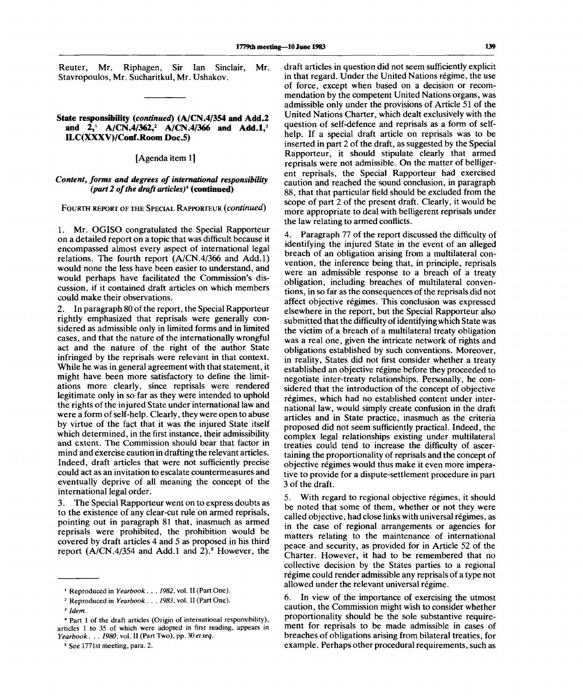Reuter, Mr. Riphagen, Sir Ian Sinclair, Mr. Stavropoulos, Mr. Sucharitkul, Mr. Ushakov.

#### **State responsibility** *(continued)* **(A/CN.4/354 and Add.2 and 2,<sup>1</sup> A/CN.4/362,<sup>2</sup> A/CN.4/366 and Add.l,<sup>3</sup> ILC(XXXV)/Conf .Room Doc.5)**

[Agenda item 1]

### *Content, forms and degrees of international responsibility (part 2 of the draft articles)<sup>4</sup>*  **(continued)**

FOURTH REPORT OF THE SPECIAL RAPPORTEUR *(continued)*

1. Mr. OGISO congratulated the Special Rapporteur on a detailed report on a topic that was difficult because it encompassed almost every aspect of international legal relations. The fourth report (A/CN.4/366 and Add.l) would none the less have been easier to understand, and would perhaps have facilitated the Commission's discussion, if it contained draft articles on which members could make their observations.

2. In paragraph 80 of the report, the Special Rapporteur rightly emphasized that reprisals were generally considered as admissible only in limited forms and in limited cases, and that the nature of the internationally wrongful act and the nature of the right of the author State infringed by the reprisals were relevant in that context. While he was in general agreement with that statement, it might have been more satisfactory to define the limitations more clearly, since reprisals were rendered legitimate only in so far as they were intended to uphold the rights of the injured State under international law and were a form of self-help. Clearly, they were open to abuse by virtue of the fact that it was the injured State itself which determined, in the first instance, their admissibility and extent. The Commission should bear that factor in mind and exercise caution in drafting the relevant articles. Indeed, draft articles that were not sufficiently precise could act as an invitation to escalate countermeasures and eventually deprive of all meaning the concept of the international legal order.

3. The Special Rapporteur went on to express doubts as to the existence of any clear-cut rule on armed reprisals, pointing out in paragraph 81 that, inasmuch as armed reprisals were prohibited, the prohibition would be covered by draft articles 4 and 5 as proposed in his third report  $(A/CN.4/354$  and  $Add.1$  and  $2)$ .<sup>5</sup> However, the

draft articles in question did not seem sufficiently explicit in that regard. Under the United Nations regime, the use of force, except when based on a decision or recommendation by the competent United Nations organs, was admissible only under the provisions of Article 51 of the United Nations Charter, which dealt exclusively with the question of self-defence and reprisals as a form of selfhelp. If a special draft article on reprisals was to be inserted in part 2 of the draft, as suggested by the Special Rapporteur, it should stipulate clearly that armed reprisals were not admissible. On the matter of belligerent reprisals, the Special Rapporteur had exercised caution and reached the sound conclusion, in paragraph 88, that that particular field should be excluded from the scope of part 2 of the present draft. Clearly, it would be more appropriate to deal with belligerent reprisals under the law relating to armed conflicts.

4. Paragraph 77 of the report discussed the difficulty of identifying the injured State in the event of an alleged breach of an obligation arising from a multilateral convention, the inference being that, in principle, reprisals were an admissible response to a breach of a treaty obligation, including breaches of multilateral conventions, in so far as the consequences of the reprisals did not affect objective regimes. This conclusion was expressed elsewhere in the report, but the Special Rapporteur also submitted that the difficulty of identifying which State was the victim of a breach of a multilateral treaty obligation was a real one, given the intricate network of rights and obligations established by such conventions. Moreover, in reality, States did not first consider whether a treaty established an objective régime before they proceeded to negotiate inter-treaty relationships. Personally, he considered that the introduction of the concept of objective régimes, which had no established content under international law, would simply create confusion in the draft articles and in State practice, inasmuch as the criteria proposed did not seem sufficiently practical. Indeed, the complex legal relationships existing under multilateral treaties could tend to increase the difficulty of ascertaining the proportionality of reprisals and the concept of objective regimes would thus make it even more imperative to provide for a dispute-settlement procedure in part 3 of the draft.

5. With regard to regional objective regimes, it should be noted that some of them, whether or not they were called objective, had close links with universal régimes, as in the case of regional arrangements or agencies for matters relating to the maintenance of international peace and security, as provided for in Article 52 of the Charter. However, it had to be remembered that no collective decision by the States parties to a regional régime could render admissible any reprisals of a type not allowed under the relevant universal régime.

6. In view of the importance of exercising the utmost caution, the Commission might wish to consider whether proportionality should be the sole substantive requirement for reprisals to be made admissible in cases of breaches of obligations arising from bilateral treaties, for example. Perhaps other procedural requirements, such as

<sup>1</sup> Reproduced in *Yearbook. . . 1982,* vol. II (Part One).

<sup>2</sup> Reproduced in *Yearbook. . . 1983,* vol. II (Part One).

<sup>3</sup>  *Idem.*

<sup>4</sup> Part 1 of the draft articles (Origin of international responsibility), articles 1 to 35 of which were adopted in first reading, appears in *Yearbook . . . 1980,* vol. II (Part Two), pp. *30 etseq.*

<sup>&</sup>lt;sup>5</sup> See 1771st meeting, para. 2.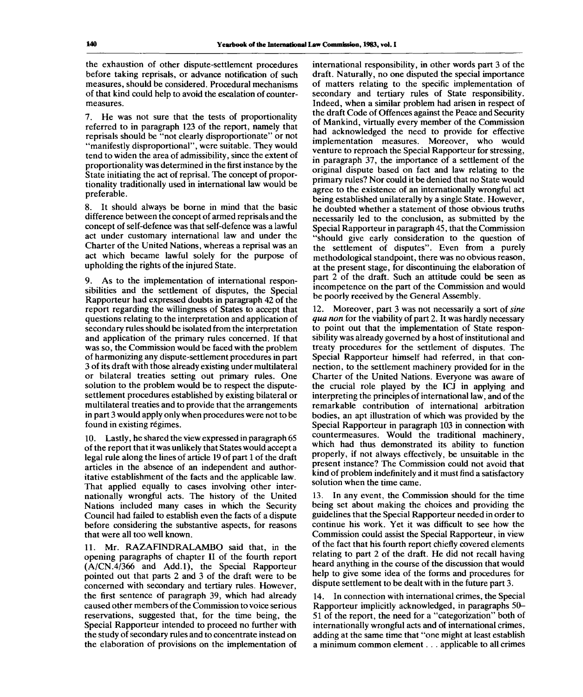the exhaustion of other dispute-settlement procedures before taking reprisals, or advance notification of such measures, should be considered. Procedural mechanisms of that kind could help to avoid the escalation of countermeasures.

7. He was not sure that the tests of proportionality referred to in paragraph 123 of the report, namely that reprisals should be "not clearly disproportionate" or not "manifestly disproportional", were suitable. They would tend to widen the area of admissibility, since the extent of proportionality was determined in the first instance by the State initiating the act of reprisal. The concept of proportionality traditionally used in international law would be preferable.

8. It should always be borne in mind that the basic difference between the concept of armed reprisals and the concept of self-defence was that self-defence was a lawful act under customary international law and under the Charter of the United Nations, whereas a reprisal was an act which became lawful solely for the purpose of upholding the rights of the injured State.

9. As to the implementation of international responsibilities and the settlement of disputes, the Special Rapporteur had expressed doubts in paragraph 42 of the report regarding the willingness of States to accept that questions relating to the interpretation and application of secondary rules should be isolated from the interpretation and application of the primary rules concerned. If that was so, the Commission would be faced with the problem of harmonizing any dispute-settlement procedures in part 3 of its draft with those already existing under multilateral or bilateral treaties setting out primary rules. One solution to the problem would be to respect the disputesettlement procedures established by existing bilateral or multilateral treaties and to provide that the arrangements in part 3 would apply only when procedures were not to be found in existing regimes.

10. Lastly, he shared the view expressed in paragraph 65 of the report that it was unlikely that States would accept a legal rule along the lines of article 19 of part 1 of the draft articles in the absence of an independent and authoritative establishment of the facts and the applicable law. That applied equally to cases involving other internationally wrongful acts. The history of the United Nations included many cases in which the Security Council had failed to establish even the facts of a dispute before considering the substantive aspects, for reasons that were all too well known.

11. Mr. RAZAFINDRALAMBO said that, in the opening paragraphs of chapter II of the fourth report (A/CN.4/366 and Add.l), the Special Rapporteur pointed out that parts 2 and 3 of the draft were to be concerned with secondary and tertiary rules. However, the first sentence of paragraph 39, which had already caused other members of the Commission to voice serious reservations, suggested that, for the time being, the Special Rapporteur intended to proceed no further with the study of secondary rules and to concentrate instead on the elaboration of provisions on the implementation of international responsibility, in other words part 3 of the draft. Naturally, no one disputed the special importance of matters relating to the specific implementation of secondary and tertiary rules of State responsibility. Indeed, when a similar problem had arisen in respect of the draft Code of Offences against the Peace and Security of Mankind, virtually every member of the Commission had acknowledged the need to provide for effective implementation measures. Moreover, who would venture to reproach the Special Rapporteur for stressing, in paragraph 37, the importance of a settlement of the original dispute based on fact and law relating to the primary rules? Nor could it be denied that no State would agree to the existence of an internationally wrongful act being established unilaterally by a single State. However, he doubted whether a statement of those obvious truths necessarily led to the conclusion, as submitted by the Special Rapporteur in paragraph 45, that the Commission "should give early consideration to the question of the settlement of disputes". Even from a purely methodological standpoint, there was no obvious reason, at the present stage, for discontinuing the elaboration of part 2 of the draft. Such an attitude could be seen as incompetence on the part of the Commission and would be poorly received by the General Assembly.

12. Moreover, part 3 was not necessarily a sort of *sine qua non* for the viability of part 2. It was hardly necessary to point out that the implementation of State responsibility was already governed by a host of institutional and treaty procedures for the settlement of disputes. The Special Rapporteur himself had referred, in that connection, to the settlement machinery provided for in the Charter of the United Nations. Everyone was aware of the crucial role played by the ICJ in applying and interpreting the principles of international law, and of the remarkable contribution of international arbitration bodies, an apt illustration of which was provided by the Special Rapporteur in paragraph 103 in connection with countermeasures. Would the traditional machinery, which had thus demonstrated its ability to function properly, if not always effectively, be unsuitable in the present instance? The Commission could not avoid that kind of problem indefinitely and it must find a satisfactory solution when the time came.

13. In any event, the Commission should for the time being set about making the choices and providing the guidelines that the Special Rapporteur needed in order to continue his work. Yet it was difficult to see how the Commission could assist the Special Rapporteur, in view of the fact that his fourth report chiefly covered elements relating to part 2 of the draft. He did not recall having heard anything in the course of the discussion that would help to give some idea of the forms and procedures for dispute settlement to be dealt with in the future part 3.

14. In connection with international crimes, the Special Rapporteur implicitly acknowledged, in paragraphs 50- 51 of the report, the need for a "categorization" both of internationally wrongful acts and of international crimes, adding at the same time that "one might at least establish a minimum common element. . . applicable to all crimes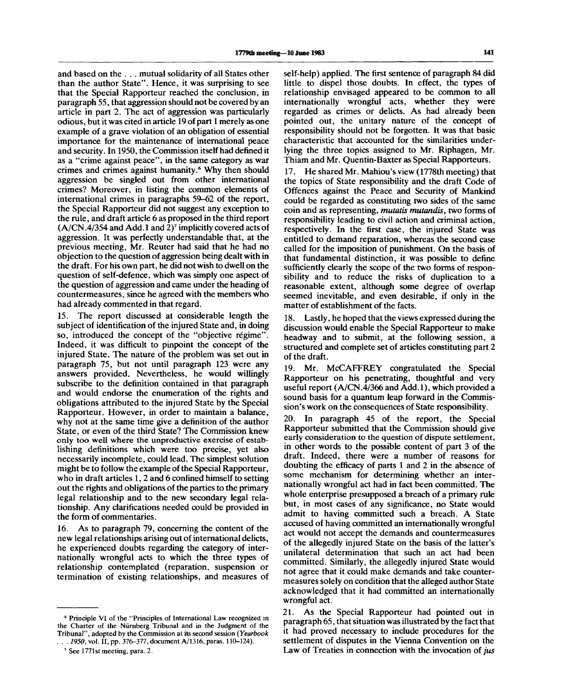and based on the . . . mutual solidarity of all States other than the author State". Hence, it was surprising to see that the Special Rapporteur reached the conclusion, in paragraph 55, that aggression should not be covered by an article in part 2. The act of aggression was particularly odious, but it was cited in article 19 of part 1 merely as one example of a grave violation of an obligation of essential importance for the maintenance of international peace and security. In 1950, the Commission itself had defined it as a "crime against peace", in the same category as war crimes and crimes against humanity.<sup>6</sup> Why then should aggression be singled out from other international crimes? Moreover, in listing the common elements of international crimes in paragraphs 59-62 of the report, the Special Rapporteur did not suggest any exception to the rule, and draft article 6 as proposed in the third report (A/CN.4/354 and Add. 1 and 2)<sup>7</sup> implicitly covered acts of aggression. It was perfectly understandable that, at the previous meeting, Mr. Reuter had said that he had no objection to the question of aggression being dealt with in the draft. For his own part, he did not wish to dwell on the question of self-defence, which was simply one aspect of the question of aggression and came under the heading of countermeasures, since he agreed with the members who had already commented in that regard.

The report discussed at considerable length the subject of identification of the injured State and, in doing so, introduced the concept of the "objective regime". Indeed, it was difficult to pinpoint the concept of the injured State. The nature of the problem was set out in paragraph 75, but not until paragraph 123 were any answers provided. Nevertheless, he would willingly subscribe to the definition contained in that paragraph and would endorse the enumeration of the rights and obligations attributed to the injured State by the Special Rapporteur. However, in order to maintain a balance, why not at the same time give a definition of the author State, or even of the third State? The Commission knew only too well where the unproductive exercise of establishing definitions which were too precise, yet also necessarily incomplete, could lead. The simplest solution might be to follow the example of the Special Rapporteur, who in draft articles 1, 2 and 6 confined himself to setting out the rights and obligations of the parties to the primary legal relationship and to the new secondary legal relationship. Any clarifications needed could be provided in the form of commentaries.

16. As to paragraph 79, concerning the content of the new legal relationships arising out of international delicts, he experienced doubts regarding the category of internationally wrongful acts to which the three types of relationship contemplated (reparation, suspension or termination of existing relationships, and measures of

6 Principle VI of the "Principles of International Law recognized in the Charter of the Nurnberg Tribunal and in the Judgment of the Tribunal", adopted by the Commission at its second session *(Yearbook . . . 1950,* vol. II, pp. 376-377, document A/1316, paras. 110-124).

self-help) applied. The first sentence of paragraph 84 did little to dispel those doubts. In effect, the types of relationship envisaged appeared to be common to all internationally wrongful acts, whether they were regarded as crimes or delicts. As had already been pointed out, the unitary nature of the concept of responsibility should not be forgotten. It was that basic characteristic that accounted for the similarities underlying the three topics assigned to Mr. Riphagen, Mr. Thiam and Mr. Quentin-Baxter as Special Rapporteurs.

17. He shared Mr. Mahiou's view (1778th meeting) that the topics of State responsibility and the draft Code of Offences against the Peace and Security of Mankind could be regarded as constituting two sides of the same coin and as representing, *mutatis mutandis,* two forms of responsibility leading to civil action and criminal action, respectively. In the first case, the injured State was entitled to demand reparation, whereas the second case called for the imposition of punishment. On the basis of that fundamental distinction, it was possible to define sufficiently clearly the scope of the two forms of responsibility and to reduce the risks of duplication to a reasonable extent, although some degree of overlap seemed inevitable, and even desirable, if only in the matter of establishment of the facts.

18. Lastly, he hoped that the views expressed during the discussion would enable the Special Rapporteur to make headway and to submit, at the following session, a structured and complete set of articles constituting part 2 of the draft.

19. Mr. McCAFFREY congratulated the Special Rapporteur on his penetrating, thoughtful and very useful report (A/CN.4/366 and Add.l), which provided a sound basis for a quantum leap forward in the Commission's work on the consequences of State responsibility.

20. In paragraph 45 of the report, the Special Rapporteur submitted that the Commission should give early consideration to the question of dispute settlement, in other words to the possible content of part 3 of the draft. Indeed, there were a number of reasons for doubting the efficacy of parts 1 and 2 in the absence of some mechanism for determining whether an internationally wrongful act had in fact been committed. The whole enterprise presupposed a breach of a primary rule but, in most cases of any significance, no State would admit to having committed such a breach. A State accused of having committed an internationally wrongful act would not accept the demands and countermeasures of the allegedly injured State on the basis of the latter's unilateral determination that such an act had been committed. Similarly, the allegedly injured State would not agree that it could make demands and take countermeasures solely on condition that the alleged author State acknowledged that it had committed an internationally wrongful act.

21. As the Special Rapporteur had pointed out in paragraph 65, that situation was illustrated by the fact that it had proved necessary to include procedures for the settlement of disputes in the Vienna Convention on the Law of Treaties in connection with the invocation of *jus*

<sup>7</sup> See 1771st meeting, para. 2.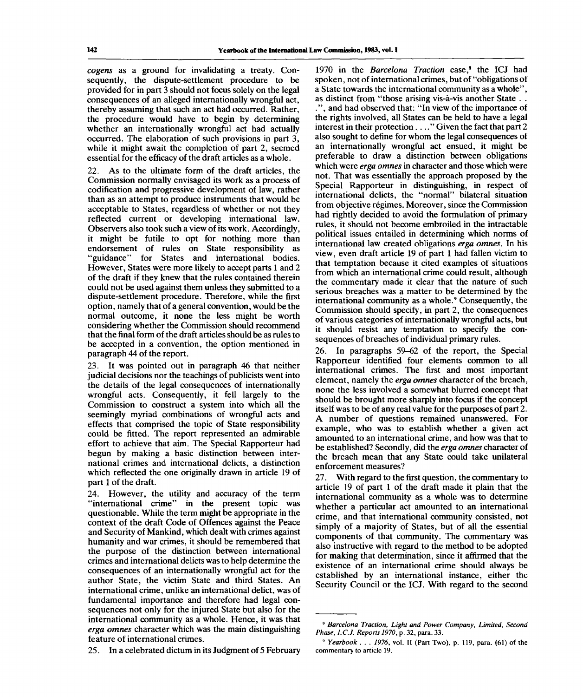*cogens* as a ground for invalidating a treaty. Consequently, the dispute-settlement procedure to be provided for in part 3 should not focus solely on the legal consequences of an alleged internationally wrongful act, thereby assuming that such an act had occurred. Rather, the procedure would have to begin by determining whether an internationally wrongful act had actually occurred. The elaboration of such provisions in part 3, while it might await the completion of part 2, seemed essential for the efficacy of the draft articles as a whole.

22. As to the ultimate form of the draft articles, the Commission normally envisaged its work as a process of codification and progressive development of law, rather than as an attempt to produce instruments that would be acceptable to States, regardless of whether or not they reflected current or developing international law. Observers also took such a view of its work. Accordingly, it might be futile to opt for nothing more than endorsement of rules on State responsibility as "guidance" for States and international bodies. However, States were more likely to accept parts 1 and 2 of the draft if they knew that the rules contained therein could not be used against them unless they submitted to a dispute-settlement procedure. Therefore, while the first option, namely that of a general convention, would be the normal outcome, it none the less might be worth considering whether the Commission should recommend that the final form of the draft articles should be as rules to be accepted in a convention, the option mentioned in paragraph 44 of the report.

23. It was pointed out in paragraph 46 that neither judicial decisions nor the teachings of publicists went into the details of the legal consequences of internationally wrongful acts. Consequently, it fell largely to the Commission to construct a system into which all the seemingly myriad combinations of wrongful acts and effects that comprised the topic of State responsibility could be fitted. The report represented an admirable effort to achieve that aim. The Special Rapporteur had begun by making a basic distinction between international crimes and international delicts, a distinction which reflected the one originally drawn in article 19 of part 1 of the draft.

24. However, the utility and accuracy of the term "international crime" in the present topic was questionable. While the term might be appropriate in the context of the draft Code of Offences against the Peace and Security of Mankind, which dealt with crimes against humanity and war crimes, it should be remembered that the purpose of the distinction between international crimes and international delicts was to help determine the consequences of an internationally wrongful act for the author State, the victim State and third States. An international crime, unlike an international delict, was of fundamental importance and therefore had legal consequences not only for the injured State but also for the international community as a whole. Hence, it was that *erga omnes* character which was the main distinguishing feature of international crimes.

25. In a celebrated dictum in its Judgment of 5 February

1970 in the Barcelona Traction case,<sup>8</sup> the ICJ had spoken, not of international crimes, but of "obligations of a State towards the international community as a whole", as distinct from "those arising vis-à-vis another State... .", and had observed that: "In view of the importance of the rights involved, all States can be held to have a legal interest in their protection . . .." Given the fact that part 2 also sought to define for whom the legal consequences of an internationally wrongful act ensued, it might be preferable to draw a distinction between obligations which were *erga omnes* in character and those which were not. That was essentially the approach proposed by the Special Rapporteur in distinguishing, in respect of international delicts, the "normal" bilateral situation from objective régimes. Moreover, since the Commission had rightly decided to avoid the formulation of primary rules, it should not become embroiled in the intractable political issues entailed in determining which norms of international law created obligations *erga omnes.* In his view, even draft article 19 of part 1 had fallen victim to that temptation because it cited examples of situations from which an international crime could result, although the commentary made it clear that the nature of such serious breaches was a matter to be determined by the serious breaches was a matter to be determined by the<br>international community as a whole.<sup>9</sup> Consequently, the Commission should specify, in part 2, the consequences of various categories of internationally wrongful acts, but it should resist any temptation to specify the consequences of breaches of individual primary rules.

26. In paragraphs 59-62 of the report, the Special Rapporteur identified four elements common to all international crimes. The first and most important element, namely the *erga omnes* character of the breach, none the less involved a somewhat blurred concept that should be brought more sharply into focus if the concept itself was to be of any real value for the purposes of part 2. A number of questions remained unanswered. For example, who was to establish whether a given act amounted to an international crime, and how was that to be established? Secondly, did the *erga omnes* character of the breach mean that any State could take unilateral enforcement measures?

27. With regard to the first question, the commentary to article 19 of part 1 of the draft made it plain that the international community as a whole was to determine whether a particular act amounted to an international crime, and that international community consisted, not simply of a majority of States, but of all the essential components of that community. The commentary was also instructive with regard to the method to be adopted for making that determination, since it affirmed that the existence of an international crime should always be established by an international instance, either the Security Council or the ICJ. With regard to the second

<sup>8</sup>  *Barcelona Traction, Light and Power Company, Limited, Second Phase, I.C.J. Reports 1970,* p. 32, para. 33.

<sup>9</sup>  *Yearbook . . . 1976,* vol. II (Part Two), p. 119, para. (61) of the commentary to article 19.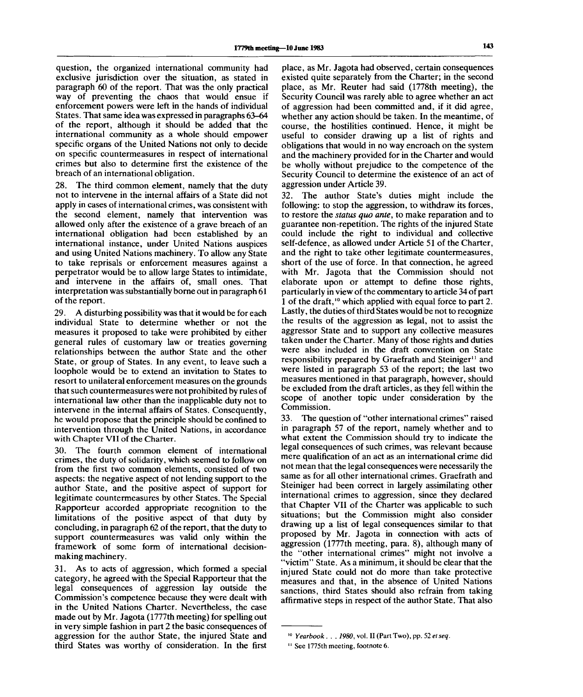question, the organized international community had exclusive jurisdiction over the situation, as stated in paragraph 60 of the report. That was the only practical way of preventing the chaos that would ensue if enforcement powers were left in the hands of individual States. That same idea was expressed in paragraphs 63-64 of the report, although it should be added that the international community as a whole should empower specific organs of the United Nations not only to decide on specific countermeasures in respect of international crimes but also to determine first the existence of the breach of an international obligation.

28. The third common element, namely that the duty not to intervene in the internal affairs of a State did not apply in cases of international crimes, was consistent with the second element, namely that intervention was allowed only after the existence of a grave breach of an international obligation had been established by an international instance, under United Nations auspices and using United Nations machinery. To allow any State to take reprisals or enforcement measures against a perpetrator would be to allow large States to intimidate, and intervene in the affairs of, small ones. That interpretation was substantially borne out in paragraph 61 of the report.

29. A disturbing possibility was that it would be for each individual State to determine whether or not the measures it proposed to take were prohibited by either general rules of customary law or treaties governing relationships between the author State and the other State, or group of States. In any event, to leave such a loophole would be to extend an invitation to States to resort to unilateral enforcement measures on the grounds that such countermeasures were not prohibited by rules of international law other than the inapplicable duty not to intervene in the internal affairs of States. Consequently, he would propose that the principle should be confined to intervention through the United Nations, in accordance with Chapter VII of the Charter.

30. The fourth common element of international crimes, the duty of solidarity, which seemed to follow on from the first two common elements, consisted of two aspects: the negative aspect of not lending support to the author State, and the positive aspect of support for legitimate countermeasures by other States. The Special Rapporteur accorded appropriate recognition to the limitations of the positive aspect of that duty by concluding, in paragraph 62 of the report, that the duty to support countermeasures was valid only within the framework of some form of international decisionmaking machinery.

31. As to acts of aggression, which formed a special category, he agreed with the Special Rapporteur that the legal consequences of aggression lay outside the Commission's competence because they were dealt with in the United Nations Charter. Nevertheless, the case made out by Mr. Jagota (1777th meeting) for spelling out in very simple fashion in part 2 the basic consequences of aggression for the author State, the injured State and third States was worthy of consideration. In the first place, as Mr. Jagota had observed, certain consequences existed quite separately from the Charter; in the second place, as Mr. Reuter had said (1778th meeting), the Security Council was rarely able to agree whether an act of aggression had been committed and, if it did agree, whether any action should be taken. In the meantime, of course, the hostilities continued. Hence, it might be useful to consider drawing up a list of rights and obligations that would in no way encroach on the system and the machinery provided for in the Charter and would be wholly without prejudice to the competence of the Security Council to determine the existence of an act of aggression under Article 39.

32. The author State's duties might include the following: to stop the aggression, to withdraw its forces, to restore the *status quo ante,* to make reparation and to guarantee non-repetition. The rights of the injured State could include the right to individual and collective self-defence, as allowed under Article 51 of the Charter, and the right to take other legitimate countermeasures, short of the use of force. In that connection, he agreed with Mr. Jagota that the Commission should not elaborate upon or attempt to define those rights, particularly in view of the commentary to article 34 of part 1 of the draft,<sup>10</sup> which applied with equal force to part 2. Lastly, the duties of third States would be not to recognize the results of the aggression as legal, not to assist the aggressor State and to support any collective measures taken under the Charter. Many of those rights and duties were also included in the draft convention on State responsibility prepared by Graefrath and Steiniger<sup>11</sup> and were listed in paragraph 53 of the report; the last two measures mentioned in that paragraph, however, should be excluded from the draft articles, as they fell within the scope of another topic under consideration by the Commission.

33. The question of "other international crimes" raised in paragraph 57 of the report, namely whether and to what extent the Commission should try to indicate the legal consequences of such crimes, was relevant because mere qualification of an act as an international crime did not mean that the legal consequences were necessarily the same as for all other international crimes. Graefrath and Steiniger had been correct in largely assimilating other international crimes to aggression, since they declared that Chapter VII of the Charter was applicable to such situations; but the Commission might also consider drawing up a list of legal consequences similar to that proposed by Mr. Jagota in connection with acts of aggression (1777th meeting, para. 8), although many of the "other international crimes" might not involve a "victim" State. As a minimum, it should be clear that the injured State could not do more than take protective measures and that, in the absence of United Nations sanctions, third States should also refrain from taking affirmative steps in respect of the author State. That also

<sup>10</sup>  *Yearbook . . . 1980,* vol. II (Part Two), pp. 52 *etseq.*

<sup>&</sup>lt;sup>11</sup> See 1775th meeting, footnote 6.